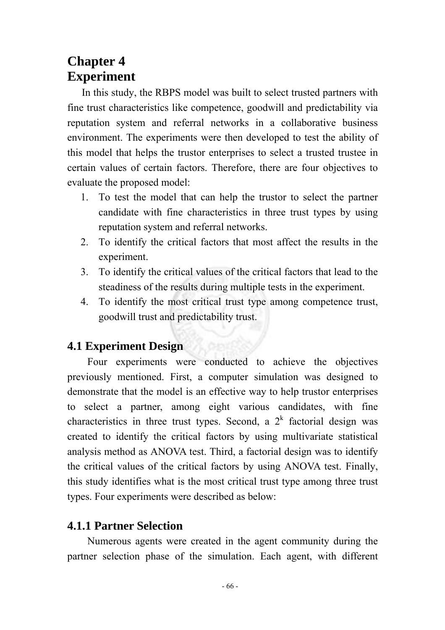# **Chapter 4 Experiment**

In this study, the RBPS model was built to select trusted partners with fine trust characteristics like competence, goodwill and predictability via reputation system and referral networks in a collaborative business environment. The experiments were then developed to test the ability of this model that helps the trustor enterprises to select a trusted trustee in certain values of certain factors. Therefore, there are four objectives to evaluate the proposed model:

- 1. To test the model that can help the trustor to select the partner candidate with fine characteristics in three trust types by using reputation system and referral networks.
- 2. To identify the critical factors that most affect the results in the experiment.
- 3. To identify the critical values of the critical factors that lead to the steadiness of the results during multiple tests in the experiment.
- 4. To identify the most critical trust type among competence trust, goodwill trust and predictability trust.

# **4.1 Experiment Design**

Four experiments were conducted to achieve the objectives previously mentioned. First, a computer simulation was designed to demonstrate that the model is an effective way to help trustor enterprises to select a partner, among eight various candidates, with fine characteristics in three trust types. Second, a  $2<sup>k</sup>$  factorial design was created to identify the critical factors by using multivariate statistical analysis method as ANOVA test. Third, a factorial design was to identify the critical values of the critical factors by using ANOVA test. Finally, this study identifies what is the most critical trust type among three trust types. Four experiments were described as below:

## **4.1.1 Partner Selection**

Numerous agents were created in the agent community during the partner selection phase of the simulation. Each agent, with different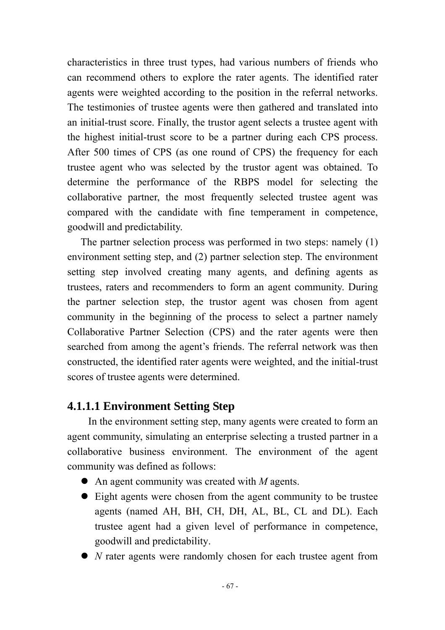characteristics in three trust types, had various numbers of friends who can recommend others to explore the rater agents. The identified rater agents were weighted according to the position in the referral networks. The testimonies of trustee agents were then gathered and translated into an initial-trust score. Finally, the trustor agent selects a trustee agent with the highest initial-trust score to be a partner during each CPS process. After 500 times of CPS (as one round of CPS) the frequency for each trustee agent who was selected by the trustor agent was obtained. To determine the performance of the RBPS model for selecting the collaborative partner, the most frequently selected trustee agent was compared with the candidate with fine temperament in competence, goodwill and predictability.

The partner selection process was performed in two steps: namely (1) environment setting step, and (2) partner selection step. The environment setting step involved creating many agents, and defining agents as trustees, raters and recommenders to form an agent community. During the partner selection step, the trustor agent was chosen from agent community in the beginning of the process to select a partner namely Collaborative Partner Selection (CPS) and the rater agents were then searched from among the agent's friends. The referral network was then constructed, the identified rater agents were weighted, and the initial-trust scores of trustee agents were determined.

## **4.1.1.1 Environment Setting Step**

In the environment setting step, many agents were created to form an agent community, simulating an enterprise selecting a trusted partner in a collaborative business environment. The environment of the agent community was defined as follows:

- $\bullet$  An agent community was created with *M* agents.
- Eight agents were chosen from the agent community to be trustee agents (named AH, BH, CH, DH, AL, BL, CL and DL). Each trustee agent had a given level of performance in competence, goodwill and predictability.
- *N* rater agents were randomly chosen for each trustee agent from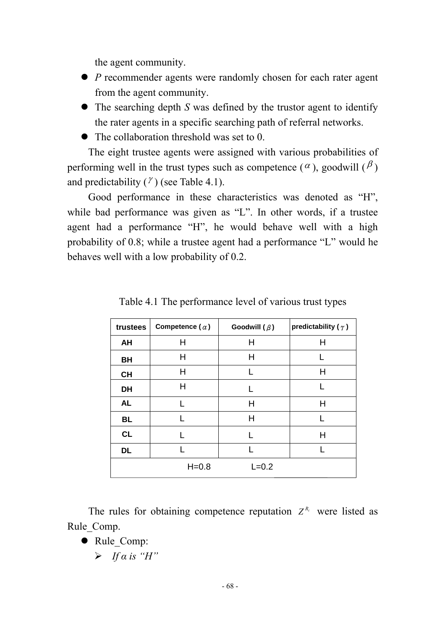the agent community.

- *P* recommender agents were randomly chosen for each rater agent from the agent community.
- $\bullet$  The searching depth *S* was defined by the trustor agent to identify the rater agents in a specific searching path of referral networks.
- $\bullet$  The collaboration threshold was set to 0.

The eight trustee agents were assigned with various probabilities of performing well in the trust types such as competence ( $\alpha$ ), goodwill ( $\beta$ ) and predictability  $(\gamma)$  (see Table 4.1).

Good performance in these characteristics was denoted as "H", while bad performance was given as "L". In other words, if a trustee agent had a performance "H", he would behave well with a high probability of 0.8; while a trustee agent had a performance "L" would he behaves well with a low probability of 0.2.

| trustees  | Competence ( $\alpha$ ) | Goodwill $(\beta)$ | predictability ( $\gamma$ ) |
|-----------|-------------------------|--------------------|-----------------------------|
| AH        | Η                       | Η                  | Н                           |
| BH        | Н                       | н                  |                             |
| <b>CH</b> | H                       | L                  | Н                           |
| <b>DH</b> | Н                       | L                  |                             |
| <b>AL</b> |                         | Н                  | Н                           |
| <b>BL</b> |                         | Н                  |                             |
| CL        |                         |                    | Н                           |
| DL        |                         |                    |                             |
|           | $H = 0.8$               | $L = 0.2$          |                             |

Table 4.1 The performance level of various trust types

The rules for obtaining competence reputation  $Z^{R_i}$  were listed as Rule Comp.

- Rule Comp:
	- ¾ *If α is "H"*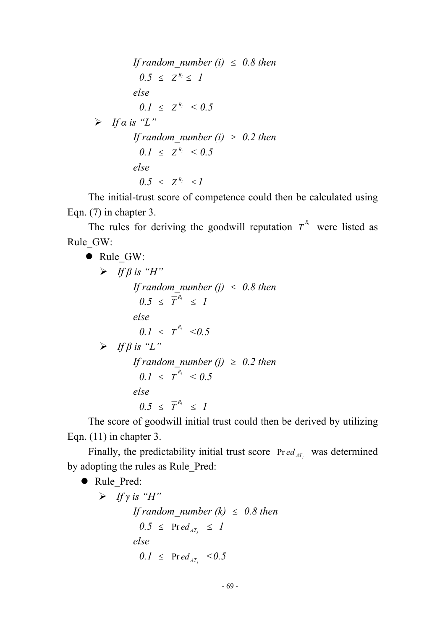*If random\_number (i)*  $\leq$  *0.8 then*  $0.5 \leq Z^{R_i} \leq I$ *else*   $0.1 \leq Z^{R_i} \leq 0.5$  $\triangleright$  *If a* is "L" *If random number (i)*  $\geq$  0.2 then  $0.1 \leq Z^{R_i} \leq 0.5$ *else 0.5* ≤  $Z^{R_i}$  ≤ *1* 

The initial-trust score of competence could then be calculated using Eqn. (7) in chapter 3.

The rules for deriving the goodwill reputation  $\overline{T}^{R_i}$  were listed as Rule\_GW:

• Rule GW:  $\triangleright$  *If*  $\beta$  *is "H" If random\_number (j)*  $\leq$  0.8 then  $0.5 \leq \overline{T}^{R_i} \leq 1$ *else*   $0.1 \leq \overline{T}^{R_i} \leq 0.5$  $\triangleright$  *If*  $\beta$  *is "L" If random\_number (j)*   $\geq$  0.2 then  $0.1 \leq \overline{T}^{R_i} < 0.5$ *else*   $0.5 \leq \overline{T}^{R_i} \leq 1$ 

The score of goodwill initial trust could then be derived by utilizing Eqn. (11) in chapter 3.

Finally, the predictability initial trust score  $Pred_{AT}$  was determined by adopting the rules as Rule\_Pred:

• Rule\_Pred:

 $\triangleright$  *If y is "H" If random number (k)*  $\leq$  0.8 then  $0.5 \leq$  Pr *ed*  $_{AT_i} \leq 1$ *else*   $0.1 \leq \text{Pred}_{AT_i} \leq 0.5$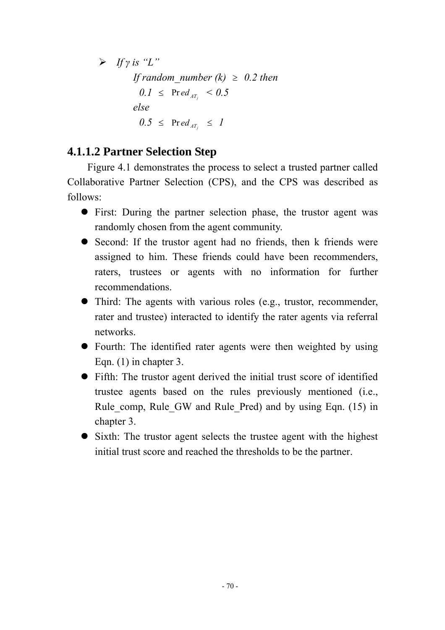¾ *If γ is "L" If random number (k)*  $\geq$  0.2 then  $0.1 \leq \text{Pred}_{AT_i} \leq 0.5$ *else*   $0.5 \leq$  Pr *ed*  $_{AT_i} \leq 1$ 

# **4.1.1.2 Partner Selection Step**

Figure 4.1 demonstrates the process to select a trusted partner called Collaborative Partner Selection (CPS), and the CPS was described as follows:

- First: During the partner selection phase, the trustor agent was randomly chosen from the agent community.
- $\bullet$  Second: If the trustor agent had no friends, then k friends were assigned to him. These friends could have been recommenders, raters, trustees or agents with no information for further recommendations.
- $\bullet$  Third: The agents with various roles (e.g., trustor, recommender, rater and trustee) interacted to identify the rater agents via referral networks.
- Fourth: The identified rater agents were then weighted by using Eqn. (1) in chapter 3.
- Fifth: The trustor agent derived the initial trust score of identified trustee agents based on the rules previously mentioned (i.e., Rule comp, Rule GW and Rule Pred) and by using Eqn. (15) in chapter 3.
- Sixth: The trustor agent selects the trustee agent with the highest initial trust score and reached the thresholds to be the partner.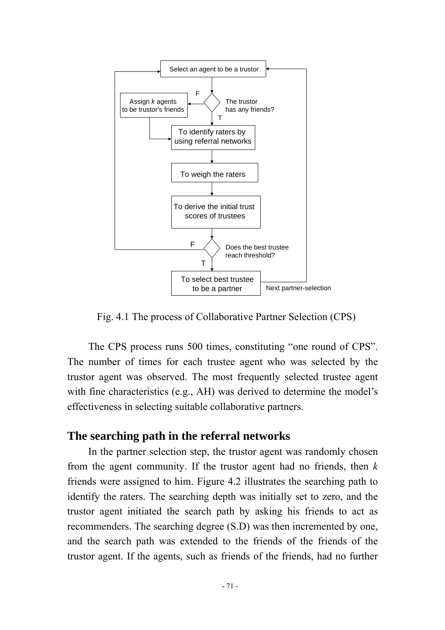

Fig. 4.1 The process of Collaborative Partner Selection (CPS)

The CPS process runs 500 times, constituting "one round of CPS". The number of times for each trustee agent who was selected by the trustor agent was observed. The most frequently selected trustee agent with fine characteristics (e.g., AH) was derived to determine the model's effectiveness in selecting suitable collaborative partners.

#### **The searching path in the referral networks**

In the partner selection step, the trustor agent was randomly chosen from the agent community. If the trustor agent had no friends, then *k* friends were assigned to him. Figure 4.2 illustrates the searching path to identify the raters. The searching depth was initially set to zero, and the trustor agent initiated the search path by asking his friends to act as recommenders. The searching degree (S.D) was then incremented by one, and the search path was extended to the friends of the friends of the trustor agent. If the agents, such as friends of the friends, had no further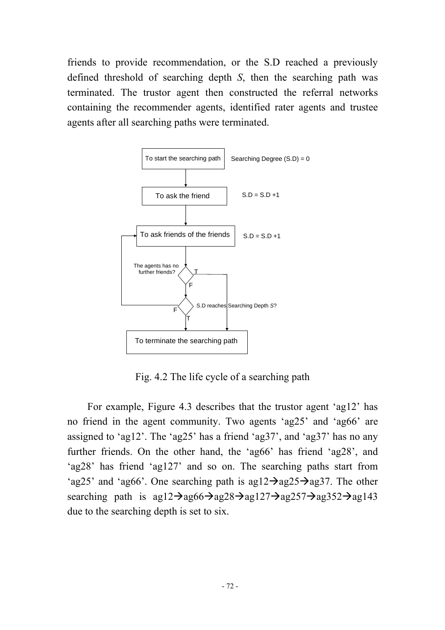friends to provide recommendation, or the S.D reached a previously defined threshold of searching depth *S*, then the searching path was terminated. The trustor agent then constructed the referral networks containing the recommender agents, identified rater agents and trustee agents after all searching paths were terminated.



Fig. 4.2 The life cycle of a searching path

For example, Figure 4.3 describes that the trustor agent 'ag12' has no friend in the agent community. Two agents 'ag25' and 'ag66' are assigned to 'ag12'. The 'ag25' has a friend 'ag37', and 'ag37' has no any further friends. On the other hand, the 'ag66' has friend 'ag28', and 'ag28' has friend 'ag127' and so on. The searching paths start from 'ag25' and 'ag66'. One searching path is ag12 $\rightarrow$ ag25 $\rightarrow$ ag37. The other searching path is  $agl2\rightarrow agl66\rightarrow agl28\rightarrow agl127\rightarrow agl257\rightarrow agl352\rightarrow agl43$ due to the searching depth is set to six.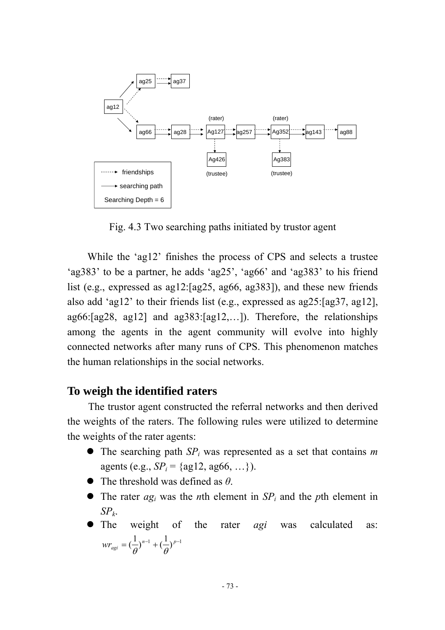

Fig. 4.3 Two searching paths initiated by trustor agent

While the 'ag12' finishes the process of CPS and selects a trustee 'ag383' to be a partner, he adds 'ag25', 'ag66' and 'ag383' to his friend list (e.g., expressed as ag12:[ag25, ag66, ag383]), and these new friends also add 'ag12' to their friends list (e.g., expressed as ag25:[ag37, ag12], ag66:[ag28, ag12] and ag383:[ag12,…]). Therefore, the relationships among the agents in the agent community will evolve into highly connected networks after many runs of CPS. This phenomenon matches the human relationships in the social networks.

#### **To weigh the identified raters**

The trustor agent constructed the referral networks and then derived the weights of the raters. The following rules were utilized to determine the weights of the rater agents:

- $\bullet$  The searching path  $SP<sub>i</sub>$  was represented as a set that contains *m* agents (e.g.,  $SP_i = \{ag12, ag66, ...\}$ ).
- $\bullet$  The threshold was defined as  $\theta$ .
- The rater  $ag_i$  was the *n*th element in  $SP_i$  and the *p*th element in *SPk*.
- The weight of the rater *agi* was calculated as:  $wr_{agi} = (\frac{1}{\theta})^{n-1} + (\frac{1}{\theta})^{p-1}$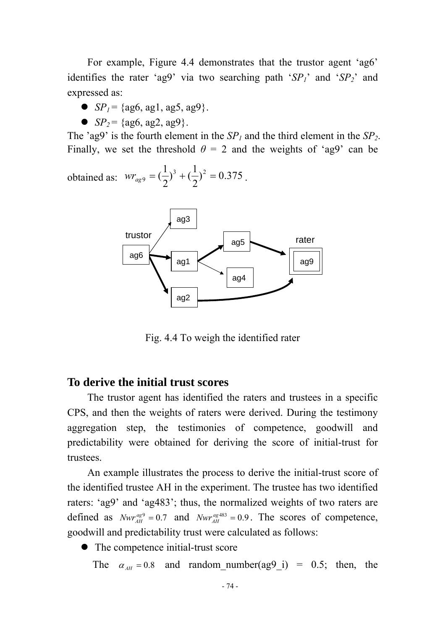For example, Figure 4.4 demonstrates that the trustor agent 'ag6' identifies the rater 'ag9' via two searching path ' $SP_1$ ' and ' $SP_2$ ' and expressed as:

- $\bullet$  *SP<sub>1</sub>* = {ag6, ag1, ag5, ag9}.
- $SP_2$  = {ag6, ag2, ag9}.

The 'ag9' is the fourth element in the  $SP_1$  and the third element in the  $SP_2$ . Finally, we set the threshold  $\theta = 2$  and the weights of 'ag9' can be

obtained as: 
$$
wr_{ag9} = (\frac{1}{2})^3 + (\frac{1}{2})^2 = 0.375
$$
.



Fig. 4.4 To weigh the identified rater

#### **To derive the initial trust scores**

The trustor agent has identified the raters and trustees in a specific CPS, and then the weights of raters were derived. During the testimony aggregation step, the testimonies of competence, goodwill and predictability were obtained for deriving the score of initial-trust for trustees.

An example illustrates the process to derive the initial-trust score of the identified trustee AH in the experiment. The trustee has two identified raters: 'ag9' and 'ag483'; thus, the normalized weights of two raters are defined as  $Nwr_{AH}^{ags} = 0.7$  and  $Nwr_{AH}^{ags} = 0.9$ . The scores of competence, goodwill and predictability trust were calculated as follows:

 $\bullet$  The competence initial-trust score

The  $\alpha_{AH} = 0.8$  and random\_number(ag9\_i) = 0.5; then, the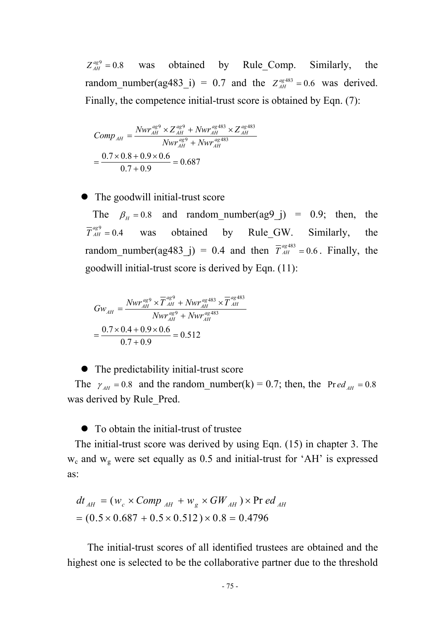$Z_{AH}^{agg} = 0.8$  was obtained by Rule Comp. Similarly, the random\_number(ag483\_i) = 0.7 and the  $Z_{AH}^{ag483} = 0.6$  was derived. Finally, the competence initial-trust score is obtained by Eqn. (7):

$$
Comp_{AH} = \frac{Nwr_{AH}^{ag9} \times Z_{AH}^{ag9} + Nwr_{AH}^{ag483} \times Z_{AH}^{ag483}}{Nwr_{AH}^{ag9} + Nwr_{AH}^{ag483}}
$$

$$
= \frac{0.7 \times 0.8 + 0.9 \times 0.6}{0.7 + 0.9} = 0.687
$$

 $\bullet$  The goodwill initial-trust score

The  $\beta_H = 0.8$  and random\_number(ag9\_j) = 0.9; then, the  $_{AH}^{ag9} = 0.4$ obtained by Rule GW. Similarly, the random\_number(ag483\_j) = 0.4 and then  $\overline{T}_{AH}^{ags33}$  = 0.6. Finally, the goodwill initial-trust score is derived by Eqn. (11):

$$
Gw_{AH} = \frac{Nwr_{AH}^{agg} \times \overline{T}_{AH}^{agg} + Nwr_{AH}^{ags}}{Nwr_{AH}^{agg} + Nwr_{AH}^{ags}} \times \overline{T}_{AH}^{agg}}{1}
$$

$$
= \frac{0.7 \times 0.4 + 0.9 \times 0.6}{0.7 + 0.9} = 0.512
$$

 $\bullet$  The predictability initial-trust score

The  $\gamma_{AH} = 0.8$  and the random\_number(k) = 0.7; then, the Pr *ed*<sub>AH</sub> = 0.8 was derived by Rule\_Pred.

 $\bullet$  To obtain the initial-trust of trustee

The initial-trust score was derived by using Eqn. (15) in chapter 3. The  $w_c$  and  $w_g$  were set equally as 0.5 and initial-trust for 'AH' is expressed as:

$$
dt_{AH} = (w_c \times Comp_{AH} + w_g \times GW_{AH}) \times \text{Pr} \, ed_{AH}
$$
  
= (0.5 × 0.687 + 0.5 × 0.512) × 0.8 = 0.4796

The initial-trust scores of all identified trustees are obtained and the highest one is selected to be the collaborative partner due to the threshold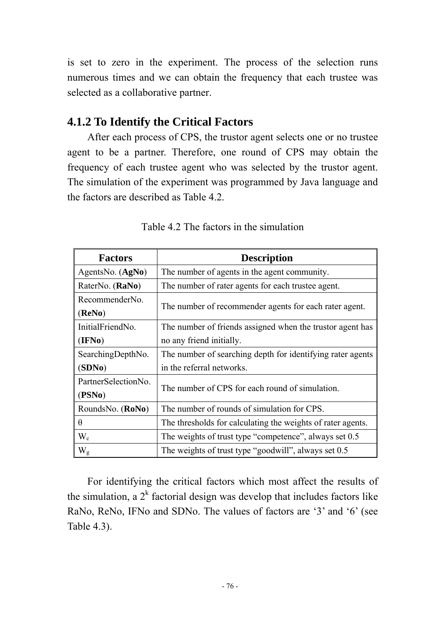is set to zero in the experiment. The process of the selection runs numerous times and we can obtain the frequency that each trustee was selected as a collaborative partner.

### **4.1.2 To Identify the Critical Factors**

After each process of CPS, the trustor agent selects one or no trustee agent to be a partner. Therefore, one round of CPS may obtain the frequency of each trustee agent who was selected by the trustor agent. The simulation of the experiment was programmed by Java language and the factors are described as Table 4.2.

| <b>Factors</b>                | <b>Description</b>                                          |
|-------------------------------|-------------------------------------------------------------|
| AgentsNo. (AgNo)              | The number of agents in the agent community.                |
| RaterNo. (RaNo)               | The number of rater agents for each trustee agent.          |
| RecommenderNo.<br>(ReNo)      | The number of recommender agents for each rater agent.      |
| InitialFriendNo.              | The number of friends assigned when the trustor agent has   |
| (IFNo)                        | no any friend initially.                                    |
| SearchingDepthNo.             | The number of searching depth for identifying rater agents  |
| (SDNo)                        | in the referral networks.                                   |
| PartnerSelectionNo.<br>(PSNo) | The number of CPS for each round of simulation.             |
| RoundsNo. (RoNo)              | The number of rounds of simulation for CPS.                 |
| $\theta$                      | The thresholds for calculating the weights of rater agents. |
| $W_c$                         | The weights of trust type "competence", always set 0.5      |
| $W_{\rm g}$                   | The weights of trust type "goodwill", always set 0.5        |

Table 4.2 The factors in the simulation

For identifying the critical factors which most affect the results of the simulation, a  $2^k$  factorial design was develop that includes factors like RaNo, ReNo, IFNo and SDNo. The values of factors are '3' and '6' (see Table 4.3).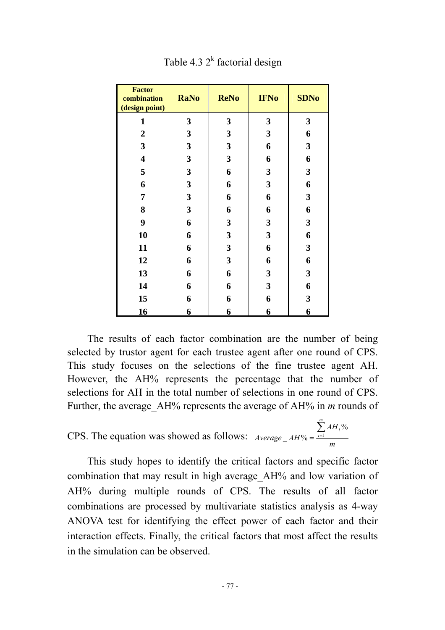| <b>Factor</b><br>combination<br>(design point) | <b>RaNo</b>             | <b>ReNo</b>             | <b>IFNo</b>             | <b>SDNo</b>             |
|------------------------------------------------|-------------------------|-------------------------|-------------------------|-------------------------|
| $\mathbf{1}$                                   | $\mathbf{3}$            | $\mathbf{3}$            | $\mathbf{3}$            | $\mathbf{3}$            |
| $\boldsymbol{2}$                               | $\mathbf{3}$            | $\mathbf{3}$            | $\mathbf{3}$            | 6                       |
| $\overline{\mathbf{3}}$                        | $\mathbf{3}$            | $\mathbf{3}$            | 6                       | $\overline{\mathbf{3}}$ |
| $\overline{\mathbf{4}}$                        | 3                       | $\mathbf{3}$            | 6                       | 6                       |
| 5                                              | 3                       | 6                       | $\mathbf{3}$            | $\overline{\mathbf{3}}$ |
| 6                                              | 3                       | 6                       | $\mathbf{3}$            | 6                       |
| 7                                              | $\mathbf{3}$            | 6                       | 6                       | $\mathbf{3}$            |
| 8                                              | $\mathbf{3}$            | 6                       | 6                       | 6                       |
| 9                                              | 6                       | $\mathbf{3}$            | $\mathbf{3}$            | $\overline{\mathbf{3}}$ |
| 10                                             | 6                       | $\mathbf{3}$            | $\mathbf{3}$            | 6                       |
| 11                                             | 6                       | $\mathbf{3}$            | 6                       | $\overline{\mathbf{3}}$ |
| 12                                             | 6                       | $\mathbf{3}$            | 6                       | 6                       |
| 13                                             | 6                       | 6                       | $\mathbf{3}$            | $\overline{\mathbf{3}}$ |
| 14                                             | 6                       | 6                       | $\overline{\mathbf{3}}$ | 6                       |
| 15                                             | 6                       | 6                       | 6                       | $\overline{\mathbf{3}}$ |
| 16                                             | $\overline{\mathbf{6}}$ | $\overline{\mathbf{6}}$ | $\overline{6}$          | $\overline{6}$          |

Table 4.3  $2^k$  factorial design

The results of each factor combination are the number of being selected by trustor agent for each trustee agent after one round of CPS. This study focuses on the selections of the fine trustee agent AH. However, the AH% represents the percentage that the number of selections for AH in the total number of selections in one round of CPS. Further, the average\_AH% represents the average of AH% in *m* rounds of

CPS. The equation was showed as follows: 
$$
Average\_AH\% = \frac{\sum_{i=1}^{m} AH_i\%}{m}
$$

This study hopes to identify the critical factors and specific factor combination that may result in high average\_AH% and low variation of AH% during multiple rounds of CPS. The results of all factor combinations are processed by multivariate statistics analysis as 4-way ANOVA test for identifying the effect power of each factor and their interaction effects. Finally, the critical factors that most affect the results in the simulation can be observed.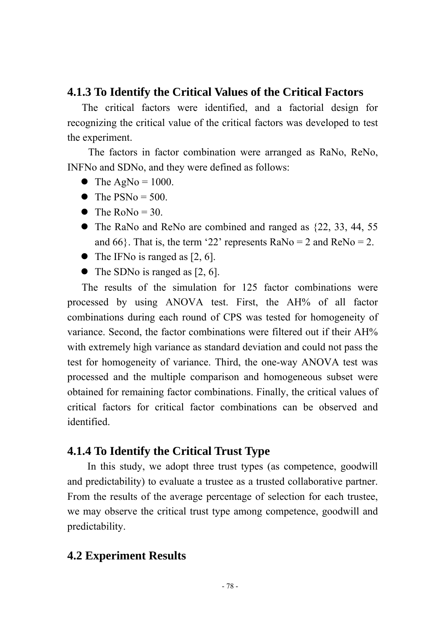#### **4.1.3 To Identify the Critical Values of the Critical Factors**

The critical factors were identified, and a factorial design for recognizing the critical value of the critical factors was developed to test the experiment.

The factors in factor combination were arranged as RaNo, ReNo, INFNo and SDNo, and they were defined as follows:

- $\bullet$  The AgNo = 1000.
- $\bullet$  The PSNo = 500.
- $\bullet$  The RoNo = 30.
- $\bullet$  The RaNo and ReNo are combined and ranged as  $\{22, 33, 44, 55, \ldots\}$ and 66 $\}$ . That is, the term '22' represents RaNo = 2 and ReNo = 2.
- $\bullet$  The IFNo is ranged as [2, 6].
- $\bullet$  The SDNo is ranged as [2, 6].

The results of the simulation for 125 factor combinations were processed by using ANOVA test. First, the AH% of all factor combinations during each round of CPS was tested for homogeneity of variance. Second, the factor combinations were filtered out if their AH% with extremely high variance as standard deviation and could not pass the test for homogeneity of variance. Third, the one-way ANOVA test was processed and the multiple comparison and homogeneous subset were obtained for remaining factor combinations. Finally, the critical values of critical factors for critical factor combinations can be observed and identified.

#### **4.1.4 To Identify the Critical Trust Type**

In this study, we adopt three trust types (as competence, goodwill and predictability) to evaluate a trustee as a trusted collaborative partner. From the results of the average percentage of selection for each trustee, we may observe the critical trust type among competence, goodwill and predictability.

#### **4.2 Experiment Results**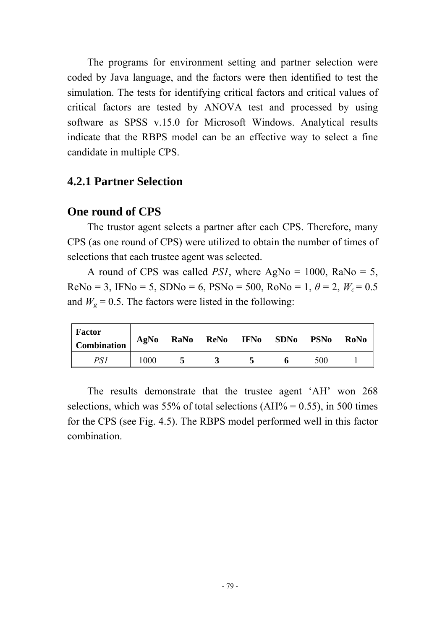The programs for environment setting and partner selection were coded by Java language, and the factors were then identified to test the simulation. The tests for identifying critical factors and critical values of critical factors are tested by ANOVA test and processed by using software as SPSS v.15.0 for Microsoft Windows. Analytical results indicate that the RBPS model can be an effective way to select a fine candidate in multiple CPS.

#### **4.2.1 Partner Selection**

#### **One round of CPS**

The trustor agent selects a partner after each CPS. Therefore, many CPS (as one round of CPS) were utilized to obtain the number of times of selections that each trustee agent was selected.

A round of CPS was called *PS1*, where  $AgNo = 1000$ ,  $RaNo = 5$ ,  $ReNo = 3$ , IFNo = 5, SDNo = 6, PSNo = 500,  $RoNo = 1$ ,  $\theta = 2$ ,  $W_c = 0.5$ and  $W_g = 0.5$ . The factors were listed in the following:

| <b>Factor</b><br><b>Combination</b> | AgNo | RaNo | ReNo | <b>IFNo</b> | <b>SDNo</b> | <b>PSNo</b> | <b>RoNo</b> |
|-------------------------------------|------|------|------|-------------|-------------|-------------|-------------|
| PSI                                 | 000  |      |      |             |             | 500         |             |

The results demonstrate that the trustee agent 'AH' won 268 selections, which was 55% of total selections ( $AH\% = 0.55$ ), in 500 times for the CPS (see Fig. 4.5). The RBPS model performed well in this factor combination.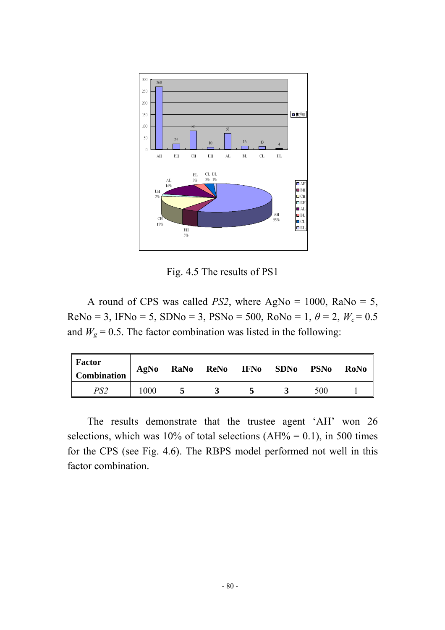

Fig. 4.5 The results of PS1

A round of CPS was called *PS2*, where AgNo = 1000, RaNo = 5, ReNo = 3, IFNo = 5, SDNo = 3, PSNo = 500, RoNo = 1,  $\theta$  = 2,  $W_c$  = 0.5 and  $W_g = 0.5$ . The factor combination was listed in the following:

| <b>Factor</b><br><b>Combination</b> | AgNo  | RaNo | <b>ReNo</b> | <b>IFNo</b> | <b>SDNo</b> | <b>PSNo</b> | RoNo |
|-------------------------------------|-------|------|-------------|-------------|-------------|-------------|------|
| PS2                                 | l 000 |      |             |             |             | 500         |      |

The results demonstrate that the trustee agent 'AH' won 26 selections, which was 10% of total selections (AH% = 0.1), in 500 times for the CPS (see Fig. 4.6). The RBPS model performed not well in this factor combination.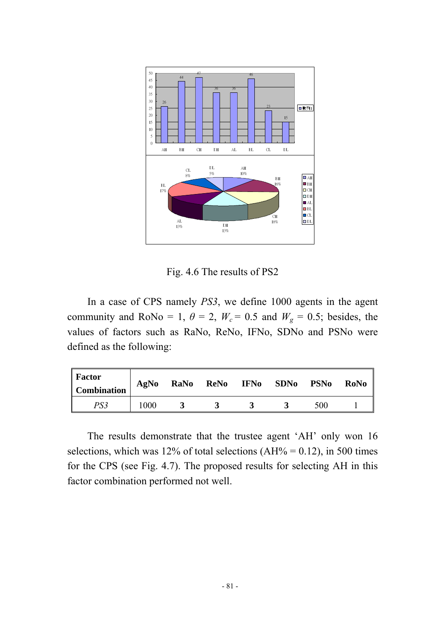

Fig. 4.6 The results of PS2

In a case of CPS namely *PS3*, we define 1000 agents in the agent community and RoNo = 1,  $\theta = 2$ ,  $W_c = 0.5$  and  $W_g = 0.5$ ; besides, the values of factors such as RaNo, ReNo, IFNo, SDNo and PSNo were defined as the following:

| Factor<br><b>Combination</b> | AgNo | RaNo | ReNo | <b>IFNo</b> | <b>SDNo</b> | <b>PSNo</b> | <b>RoNo</b> |
|------------------------------|------|------|------|-------------|-------------|-------------|-------------|
| PS3                          | 1000 |      |      |             |             | 500         |             |

The results demonstrate that the trustee agent 'AH' only won 16 selections, which was 12% of total selections (AH% =  $0.12$ ), in 500 times for the CPS (see Fig. 4.7). The proposed results for selecting AH in this factor combination performed not well.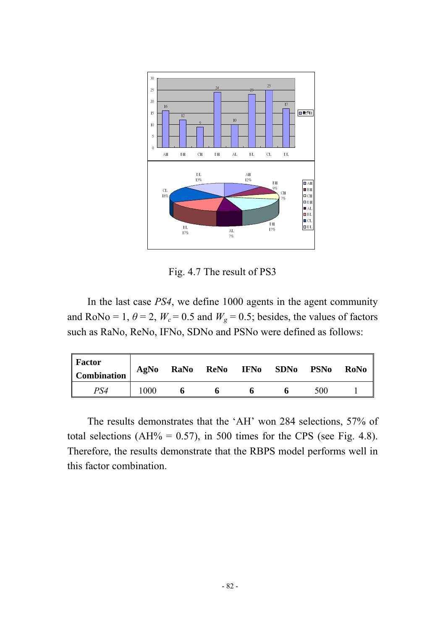

Fig. 4.7 The result of PS3

In the last case *PS4*, we define 1000 agents in the agent community and RoNo = 1,  $\theta$  = 2,  $W_c$  = 0.5 and  $W_g$  = 0.5; besides, the values of factors such as RaNo, ReNo, IFNo, SDNo and PSNo were defined as follows:

| <b>Factor</b><br><b>Combination</b> | AgNo | RaNo | <b>ReNo</b> | <b>IFNo</b> | <b>SDNo</b> | <b>PSNo</b> | RoNo |
|-------------------------------------|------|------|-------------|-------------|-------------|-------------|------|
| PS4                                 | 1000 | n    |             |             |             | 500         |      |

The results demonstrates that the 'AH' won 284 selections, 57% of total selections (AH% =  $0.57$ ), in 500 times for the CPS (see Fig. 4.8). Therefore, the results demonstrate that the RBPS model performs well in this factor combination.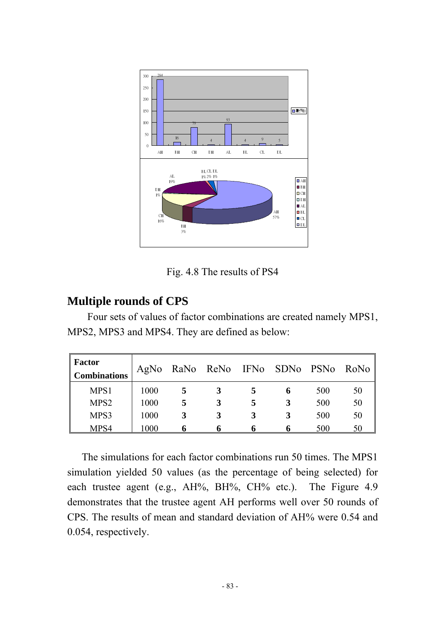

Fig. 4.8 The results of PS4

### **Multiple rounds of CPS**

Four sets of values of factor combinations are created namely MPS1, MPS2, MPS3 and MPS4. They are defined as below:

| <b>Factor</b><br><b>Combinations</b> | AgNo | RaNo ReNo IFNo SDNo |   |   | <b>PSNo</b> | RoNo |
|--------------------------------------|------|---------------------|---|---|-------------|------|
| MPS1                                 | 1000 |                     |   | 6 | 500         | 50   |
| MPS <sub>2</sub>                     | 1000 |                     | 5 | 3 | 500         | 50   |
| MPS3                                 | 1000 | 3                   |   |   | 500         | 50   |
| MPS4                                 | 1000 | n                   |   |   | 500         | 50   |

The simulations for each factor combinations run 50 times. The MPS1 simulation yielded 50 values (as the percentage of being selected) for each trustee agent (e.g., AH%, BH%, CH% etc.). The Figure 4.9 demonstrates that the trustee agent AH performs well over 50 rounds of CPS. The results of mean and standard deviation of AH% were 0.54 and 0.054, respectively.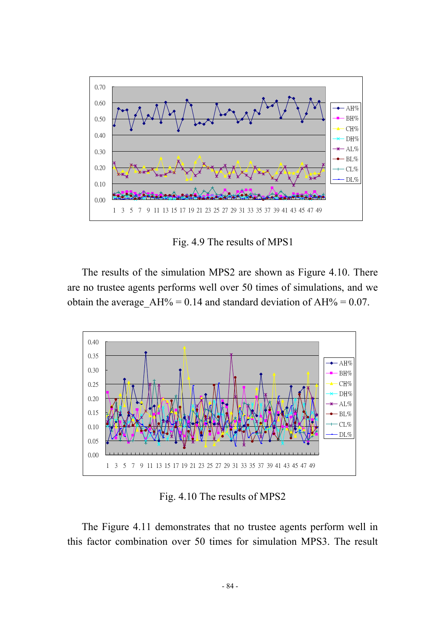

Fig. 4.9 The results of MPS1

The results of the simulation MPS2 are shown as Figure 4.10. There are no trustee agents performs well over 50 times of simulations, and we obtain the average  $AH% = 0.14$  and standard deviation of  $AH% = 0.07$ .



Fig. 4.10 The results of MPS2

The Figure 4.11 demonstrates that no trustee agents perform well in this factor combination over 50 times for simulation MPS3. The result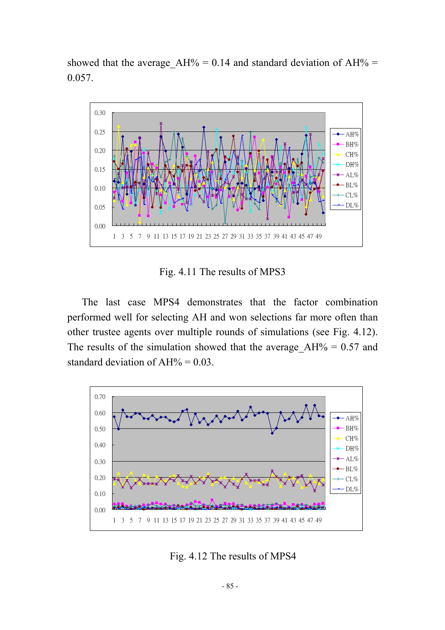showed that the average  $AH% = 0.14$  and standard deviation of  $AH% =$ 0.057.



Fig. 4.11 The results of MPS3

The last case MPS4 demonstrates that the factor combination performed well for selecting AH and won selections far more often than other trustee agents over multiple rounds of simulations (see Fig. 4.12). The results of the simulation showed that the average  $AH% = 0.57$  and standard deviation of  $AH\% = 0.03$ .



Fig. 4.12 The results of MPS4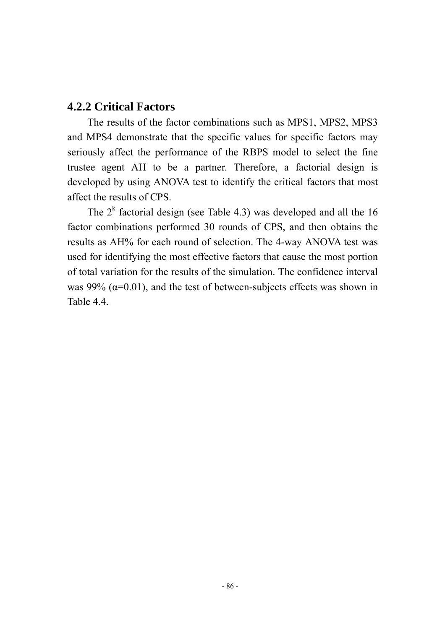#### **4.2.2 Critical Factors**

The results of the factor combinations such as MPS1, MPS2, MPS3 and MPS4 demonstrate that the specific values for specific factors may seriously affect the performance of the RBPS model to select the fine trustee agent AH to be a partner. Therefore, a factorial design is developed by using ANOVA test to identify the critical factors that most affect the results of CPS.

The  $2<sup>k</sup>$  factorial design (see Table 4.3) was developed and all the 16 factor combinations performed 30 rounds of CPS, and then obtains the results as AH% for each round of selection. The 4-way ANOVA test was used for identifying the most effective factors that cause the most portion of total variation for the results of the simulation. The confidence interval was 99%  $(\alpha=0.01)$ , and the test of between-subjects effects was shown in Table 4.4.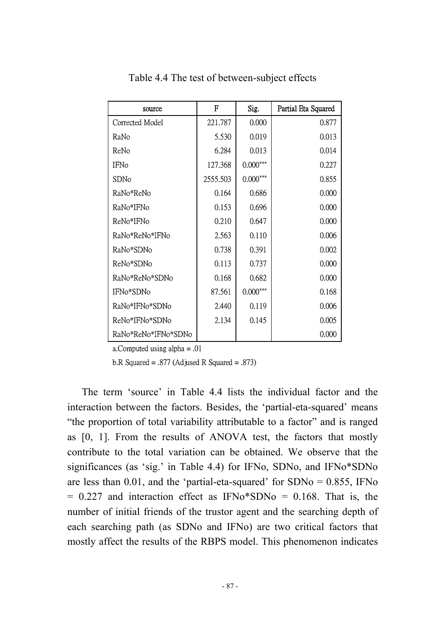| source              | F        | Sig.       | Partial Eta Squared |
|---------------------|----------|------------|---------------------|
| Corrected Model     | 221.787  | 0.000      | 0.877               |
| RaNo                | 5.530    | 0.019      | 0.013               |
| ReNo                | 6.284    | 0.013      | 0.014               |
| <b>IFNo</b>         | 127.368  | $0.000***$ | 0.227               |
| SDNo                | 2555.503 | $0.000***$ | 0.855               |
| RaNo*ReNo           | 0.164    | 0.686      | 0.000               |
| RaNo*IFNo           | 0.153    | 0.696      | 0.000               |
| ReNo*IFNo           | 0.210    | 0.647      | 0.000               |
| RaNo*ReNo*IFNo      | 2.563    | 0.110      | 0.006               |
| RaNo*SDNo           | 0.738    | 0.391      | 0.002               |
| ReNo*SDNo           | 0.113    | 0.737      | 0.000               |
| RaNo*ReNo*SDNo      | 0.168    | 0.682      | 0.000               |
| IFN0*SDN0           | 87.561   | $0.000***$ | 0.168               |
| RaNo*IFNo*SDNo      | 2.440    | 0.119      | 0.006               |
| ReNo*IFNo*SDNo      | 2.134    | 0.145      | 0.005               |
| RaNo*ReNo*IFNo*SDNo |          |            | 0.000               |

Table 4.4 The test of between-subject effects

a.Computed using alpha = .01

b.R Squared = .877 (Adjused R Squared = .873)

The term 'source' in Table 4.4 lists the individual factor and the interaction between the factors. Besides, the 'partial-eta-squared' means "the proportion of total variability attributable to a factor" and is ranged as [0, 1]. From the results of ANOVA test, the factors that mostly contribute to the total variation can be obtained. We observe that the significances (as 'sig.' in Table 4.4) for IFNo, SDNo, and IFNo\*SDNo are less than  $0.01$ , and the 'partial-eta-squared' for  $SDNo = 0.855$ , IFNo  $= 0.227$  and interaction effect as IFNo $*$ SDNo  $= 0.168$ . That is, the number of initial friends of the trustor agent and the searching depth of each searching path (as SDNo and IFNo) are two critical factors that mostly affect the results of the RBPS model. This phenomenon indicates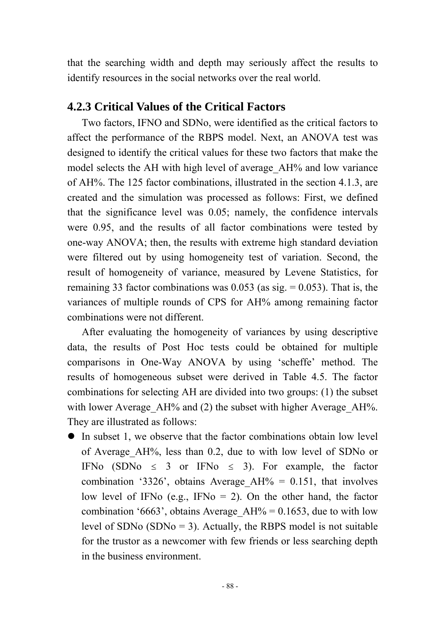that the searching width and depth may seriously affect the results to identify resources in the social networks over the real world.

### **4.2.3 Critical Values of the Critical Factors**

Two factors, IFNO and SDNo, were identified as the critical factors to affect the performance of the RBPS model. Next, an ANOVA test was designed to identify the critical values for these two factors that make the model selects the AH with high level of average AH% and low variance of AH%. The 125 factor combinations, illustrated in the section 4.1.3, are created and the simulation was processed as follows: First, we defined that the significance level was 0.05; namely, the confidence intervals were 0.95, and the results of all factor combinations were tested by one-way ANOVA; then, the results with extreme high standard deviation were filtered out by using homogeneity test of variation. Second, the result of homogeneity of variance, measured by Levene Statistics, for remaining 33 factor combinations was  $0.053$  (as sig. = 0.053). That is, the variances of multiple rounds of CPS for AH% among remaining factor combinations were not different.

After evaluating the homogeneity of variances by using descriptive data, the results of Post Hoc tests could be obtained for multiple comparisons in One-Way ANOVA by using 'scheffe' method. The results of homogeneous subset were derived in Table 4.5. The factor combinations for selecting AH are divided into two groups: (1) the subset with lower Average AH% and (2) the subset with higher Average AH%. They are illustrated as follows:

 $\bullet$  In subset 1, we observe that the factor combinations obtain low level of Average\_AH%, less than 0.2, due to with low level of SDNo or IFNo (SDNo  $\leq$  3 or IFNo  $\leq$  3). For example, the factor combination '3326', obtains Average  $AH% = 0.151$ , that involves low level of IFNo (e.g., IFNo  $= 2$ ). On the other hand, the factor combination '6663', obtains Average  $AH% = 0.1653$ , due to with low level of SDNo  $(SDN<sub>0</sub> = 3)$ . Actually, the RBPS model is not suitable for the trustor as a newcomer with few friends or less searching depth in the business environment.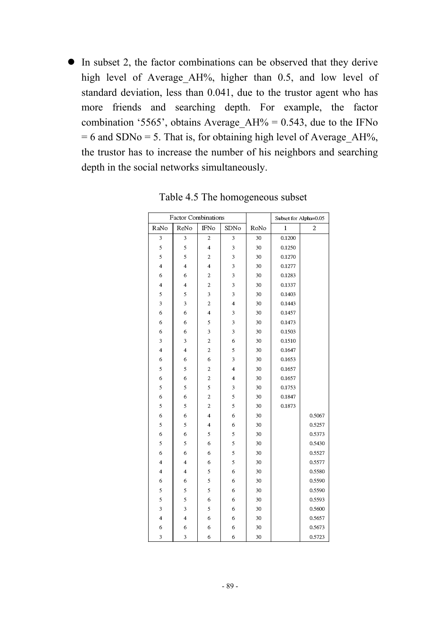$\bullet$  In subset 2, the factor combinations can be observed that they derive high level of Average AH%, higher than 0.5, and low level of standard deviation, less than 0.041, due to the trustor agent who has more friends and searching depth. For example, the factor combination '5565', obtains Average  $AH% = 0.543$ , due to the IFNo  $= 6$  and SDNo  $= 5$ . That is, for obtaining high level of Average AH%, the trustor has to increase the number of his neighbors and searching depth in the social networks simultaneously.

|                         | <b>Factor Combinations</b> |                         |                         |      |              | Subset for Alpha=0.05 |
|-------------------------|----------------------------|-------------------------|-------------------------|------|--------------|-----------------------|
| RaNo                    | ReNo                       | <b>IFNo</b>             | SDNo                    | RoNo | $\mathbf{1}$ | $\overline{c}$        |
| 3                       | $\overline{\mathbf{3}}$    | $\overline{c}$          | $\overline{\mathbf{3}}$ | 30   | 0.1200       |                       |
| 5                       | 5                          | $\overline{4}$          | 3                       | 30   | 0.1250       |                       |
| 5                       | 5                          | $\overline{\mathbf{c}}$ | 3                       | 30   | 0.1270       |                       |
| $\overline{4}$          | $\overline{4}$             | $\overline{4}$          | 3                       | 30   | 0.1277       |                       |
| 6                       | 6                          | $\overline{c}$          | 3                       | 30   | 0.1283       |                       |
| $\overline{\mathbf{4}}$ | $\overline{\mathbf{4}}$    | $\overline{c}$          | $\overline{\mathbf{3}}$ | 30   | 0.1337       |                       |
| 5                       | 5                          | 3                       | 3                       | 30   | 0.1403       |                       |
| $\overline{\mathbf{3}}$ | $\overline{\mathbf{3}}$    | $\overline{c}$          | $\overline{\mathbf{4}}$ | 30   | 0.1443       |                       |
| 6                       | 6                          | $\overline{\mathbf{4}}$ | 3                       | 30   | 0.1457       |                       |
| 6                       | 6                          | 5                       | 3                       | 30   | 0.1473       |                       |
| 6                       | 6                          | 3                       | 3                       | 30   | 0.1503       |                       |
| 3                       | 3                          | $\overline{c}$          | 6                       | 30   | 0.1510       |                       |
| $\overline{\mathbf{4}}$ | $\overline{\mathbf{4}}$    | $\overline{\mathbf{c}}$ | 5                       | 30   | 0.1647       |                       |
| 6                       | 6                          | 6                       | 3                       | 30   | 0.1653       |                       |
| 5                       | 5                          | $\overline{\mathbf{c}}$ | $\overline{\mathbf{4}}$ | 30   | 0.1657       |                       |
| 6                       | 6                          | $\overline{c}$          | $\overline{4}$          | 30   | 0.1657       |                       |
| 5                       | 5                          | 5                       | 3                       | 30   | 0.1753       |                       |
| 6                       | 6                          | $\overline{c}$          | 5                       | 30   | 0.1847       |                       |
| 5                       | 5                          | $\overline{c}$          | 5                       | 30   | 0.1873       |                       |
| 6                       | 6                          | $\overline{4}$          | 6                       | 30   |              | 0.5067                |
| 5                       | 5                          | $\overline{\mathbf{4}}$ | 6                       | 30   |              | 0.5257                |
| 6                       | 6                          | 5                       | 5                       | 30   |              | 0.5373                |
| 5                       | 5                          | 6                       | 5                       | 30   |              | 0.5430                |
| 6                       | 6                          | 6                       | 5                       | 30   |              | 0.5527                |
| $\overline{\mathbf{4}}$ | $\overline{\mathbf{4}}$    | 6                       | 5                       | 30   |              | 0.5577                |
| $\overline{\mathbf{4}}$ | $\overline{\mathbf{4}}$    | 5                       | 6                       | 30   |              | 0.5580                |
| 6                       | 6                          | 5                       | 6                       | 30   |              | 0.5590                |
| 5                       | 5                          | 5                       | 6                       | 30   |              | 0.5590                |
| 5                       | 5                          | 6                       | 6                       | 30   |              | 0.5593                |
| 3                       | 3                          | 5                       | 6                       | 30   |              | 0.5600                |
| $\overline{\mathbf{4}}$ | $\overline{\mathbf{4}}$    | 6                       | 6                       | 30   |              | 0.5657                |
| 6                       | 6                          | 6                       | 6                       | 30   |              | 0.5673                |
| 3                       | 3                          | 6                       | 6                       | 30   |              | 0.5723                |

Table 4.5 The homogeneous subset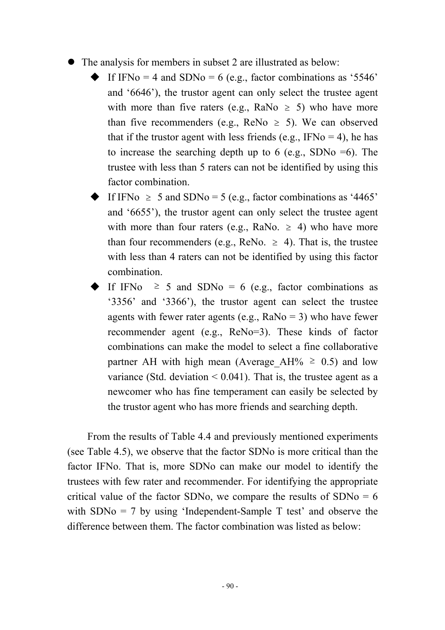- The analysis for members in subset 2 are illustrated as below:
	- If IFNo = 4 and SDNo = 6 (e.g., factor combinations as '5546' and '6646'), the trustor agent can only select the trustee agent with more than five raters (e.g., RaNo  $\geq$  5) who have more than five recommenders (e.g., ReNo  $\geq$  5). We can observed that if the trustor agent with less friends (e.g., IFNo  $=$  4), he has to increase the searching depth up to 6 (e.g., SDNo  $=6$ ). The trustee with less than 5 raters can not be identified by using this factor combination.
	- If IFNo  $\geq 5$  and SDNo = 5 (e.g., factor combinations as '4465' and '6655'), the trustor agent can only select the trustee agent with more than four raters (e.g., RaNo.  $\ge$  4) who have more than four recommenders (e.g., ReNo.  $\geq$  4). That is, the trustee with less than 4 raters can not be identified by using this factor combination.
	- If IFNo  $\geq$  5 and SDNo = 6 (e.g., factor combinations as '3356' and '3366'), the trustor agent can select the trustee agents with fewer rater agents (e.g.,  $Ra$ No = 3) who have fewer recommender agent (e.g., ReNo=3). These kinds of factor combinations can make the model to select a fine collaborative partner AH with high mean (Average AH%  $\geq$  0.5) and low variance (Std. deviation  $\leq 0.041$ ). That is, the trustee agent as a newcomer who has fine temperament can easily be selected by the trustor agent who has more friends and searching depth.

From the results of Table 4.4 and previously mentioned experiments (see Table 4.5), we observe that the factor SDNo is more critical than the factor IFNo. That is, more SDNo can make our model to identify the trustees with few rater and recommender. For identifying the appropriate critical value of the factor SDNo, we compare the results of  $SDNo = 6$ with  $SDNo = 7$  by using 'Independent-Sample T test' and observe the difference between them. The factor combination was listed as below: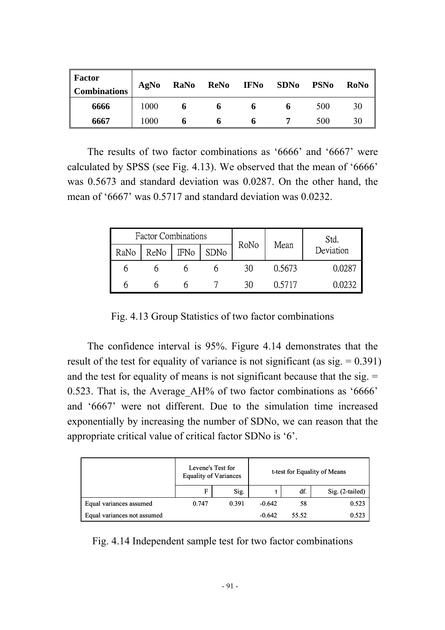| <b>Factor</b><br><b>Combinations</b> | AgNo | RaNo | ReNo | <b>IFNo</b> | <b>SDNo</b> | <b>PSNo</b> | RoNo |
|--------------------------------------|------|------|------|-------------|-------------|-------------|------|
| 6666                                 | 1000 |      | O    |             |             | 500         | 30   |
| 6667                                 | 1000 |      |      |             |             | 500         | 30   |

The results of two factor combinations as '6666' and '6667' were calculated by SPSS (see Fig. 4.13). We observed that the mean of '6666' was 0.5673 and standard deviation was 0.0287. On the other hand, the mean of '6667' was 0.5717 and standard deviation was 0.0232.

|      | <b>Factor Combinations</b> |             |      |      |        | Std.      |  |
|------|----------------------------|-------------|------|------|--------|-----------|--|
| RaNo | ReNo                       | <b>IFNo</b> | SDNo | RoNo | Mean   | Deviation |  |
|      |                            |             |      |      | 0.5673 | 0.0287    |  |
|      |                            |             |      |      | 0.5717 | იევე      |  |

Fig. 4.13 Group Statistics of two factor combinations

The confidence interval is 95%. Figure 4.14 demonstrates that the result of the test for equality of variance is not significant (as  $sig. = 0.391$ ) and the test for equality of means is not significant because that the sig.  $=$ 0.523. That is, the Average\_AH% of two factor combinations as '6666' and '6667' were not different. Due to the simulation time increased exponentially by increasing the number of SDNo, we can reason that the appropriate critical value of critical factor SDNo is '6'.

|                             | Levene's Test for<br><b>Equality of Variances</b> |       | t-test for Equality of Means |       |                   |
|-----------------------------|---------------------------------------------------|-------|------------------------------|-------|-------------------|
|                             | F                                                 | Sig.  |                              | df.   | $Sig. (2-tailed)$ |
| Equal variances assumed     | 0.747                                             | 0.391 | $-0.642$                     | 58    | 0.523             |
| Equal variances not assumed |                                                   |       | $-0.642$                     | 55.52 | 0.523             |

Fig. 4.14 Independent sample test for two factor combinations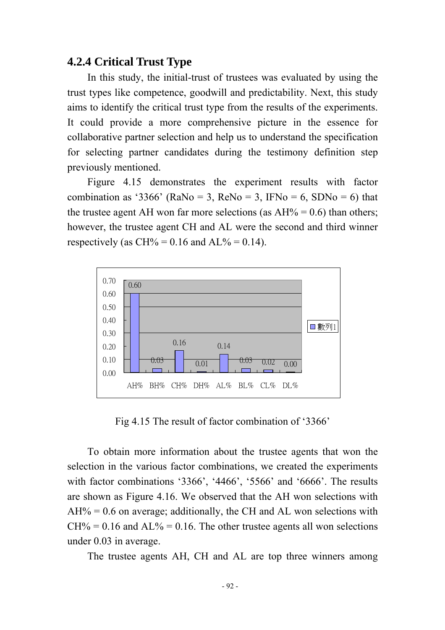#### **4.2.4 Critical Trust Type**

In this study, the initial-trust of trustees was evaluated by using the trust types like competence, goodwill and predictability. Next, this study aims to identify the critical trust type from the results of the experiments. It could provide a more comprehensive picture in the essence for collaborative partner selection and help us to understand the specification for selecting partner candidates during the testimony definition step previously mentioned.

Figure 4.15 demonstrates the experiment results with factor combination as '3366' (RaNo = 3, ReNo = 3, IFNo = 6, SDNo = 6) that the trustee agent AH won far more selections (as  $AH% = 0.6$ ) than others; however, the trustee agent CH and AL were the second and third winner respectively (as  $CH\% = 0.16$  and  $AL\% = 0.14$ ).



Fig 4.15 The result of factor combination of '3366'

To obtain more information about the trustee agents that won the selection in the various factor combinations, we created the experiments with factor combinations '3366', '4466', '5566' and '6666'. The results are shown as Figure 4.16. We observed that the AH won selections with  $AH% = 0.6$  on average; additionally, the CH and AL won selections with  $CH\% = 0.16$  and  $AL\% = 0.16$ . The other trustee agents all won selections under 0.03 in average.

The trustee agents AH, CH and AL are top three winners among